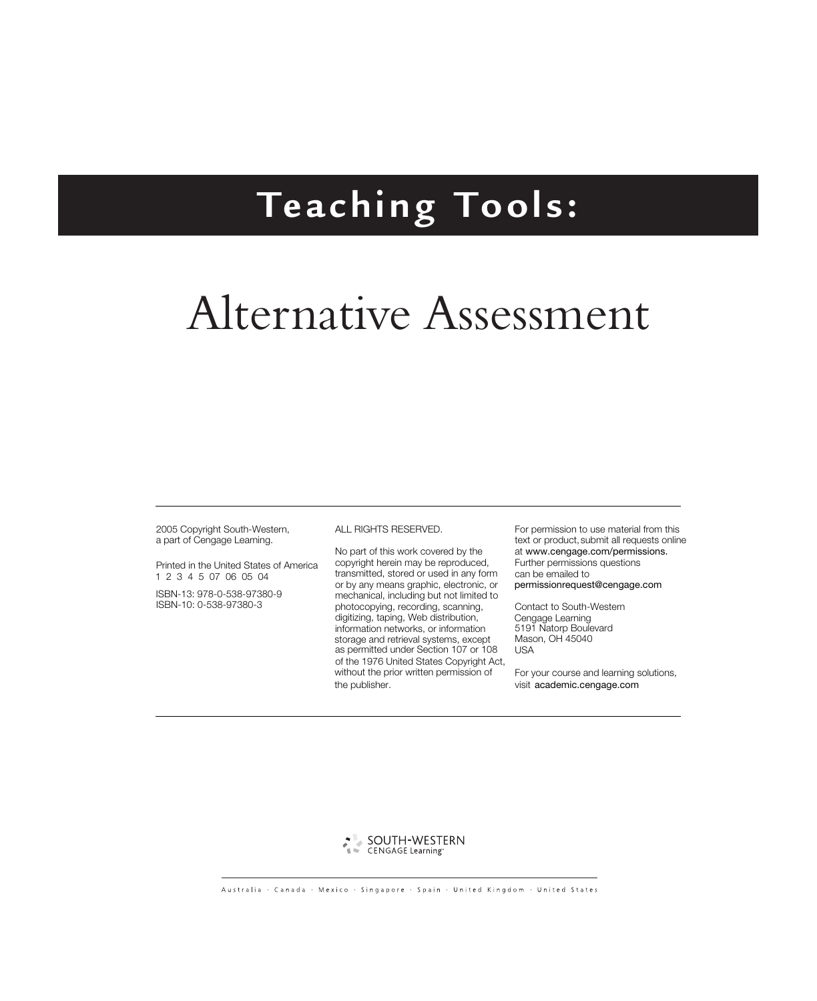# **Teaching Tools:**

# Alternative Assessment

2005 Copyright South-Western, a part of Cengage Learning.

Printed in the United States of America 1 2 3 4 5 07 06 05 04

ISBN-13: 978-0-538-97380-9 ISBN-10: 0-538-97380-3

#### ALL RIGHTS RESERVED.

No part of this work covered by the copyright herein may be reproduced, transmitted, stored or used in any form or by any means graphic, electronic, or mechanical, including but not limited to photocopying, recording, scanning, digitizing, taping, Web distribution, information networks, or information storage and retrieval systems, except as permitted under Section 107 or 108 of the 1976 United States Copyright Act, without the prior written permission of the publisher.

For permission to use material from this text or product, submit all requests online at www.cengage.com/permissions. can be emailed to Further permissions questions permissionrequest@cengage.com

Contact to South-Western Cengage Learning 5191 Natorp Boulevard Mason, OH 45040 USA

For your course and learning solutions, visit academic.cengage.com

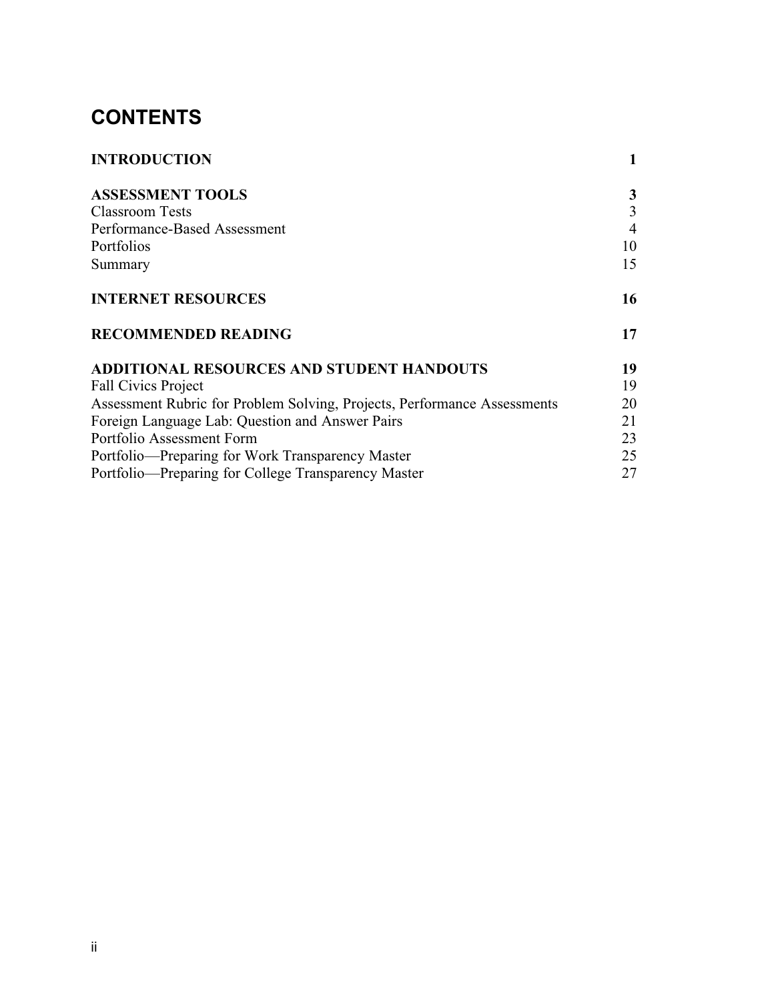## **CONTENTS**

| <b>INTRODUCTION</b>                                                      | $\mathbf{1}$   |
|--------------------------------------------------------------------------|----------------|
| <b>ASSESSMENT TOOLS</b>                                                  | 3              |
| <b>Classroom Tests</b>                                                   | $\overline{3}$ |
| Performance-Based Assessment                                             | $\overline{4}$ |
| Portfolios                                                               | 10             |
| Summary                                                                  | 15             |
| <b>INTERNET RESOURCES</b>                                                | 16             |
| <b>RECOMMENDED READING</b>                                               | 17             |
| ADDITIONAL RESOURCES AND STUDENT HANDOUTS                                | 19             |
| <b>Fall Civics Project</b>                                               | 19             |
| Assessment Rubric for Problem Solving, Projects, Performance Assessments | 20             |
| Foreign Language Lab: Question and Answer Pairs                          | 21             |
| Portfolio Assessment Form                                                | 23             |
| Portfolio—Preparing for Work Transparency Master                         | 25             |
| Portfolio—Preparing for College Transparency Master                      | 27             |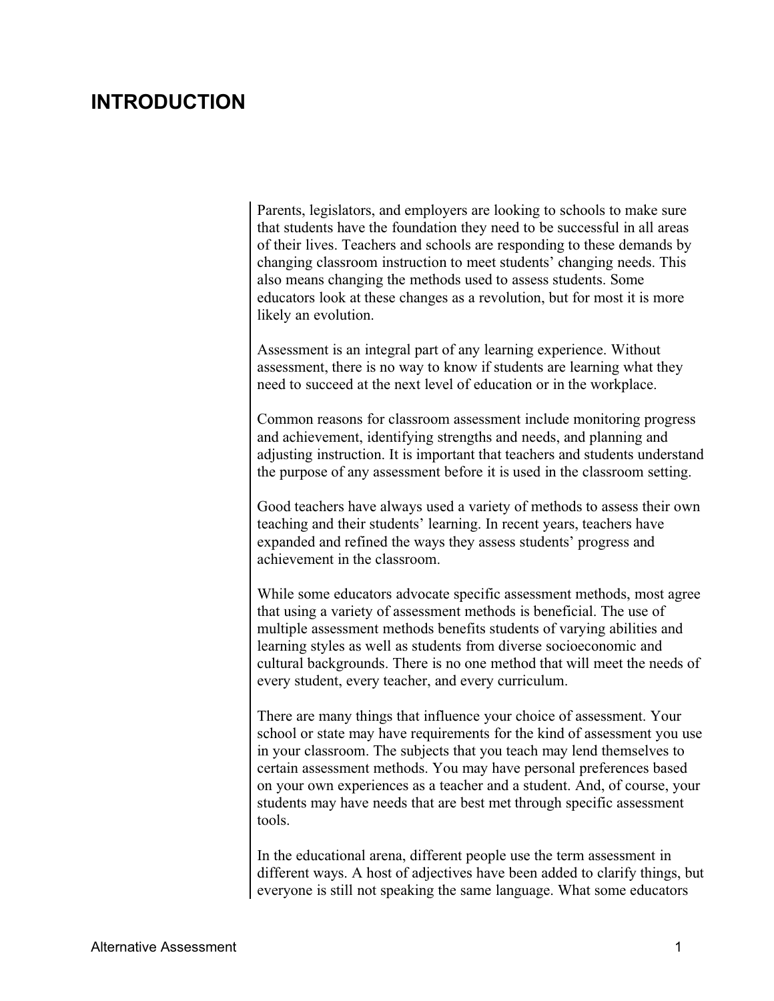#### **INTRODUCTION INTRODUCTION**

Parents, legislators, and employers are looking to schools to make sure that students have the foundation they need to be successful in all areas of their lives. Teachers and schools are responding to these demands by changing classroom instruction to meet students' changing needs. This also means changing the methods used to assess students. Some educators look at these changes as a revolution, but for most it is more likely an evolution.

Assessment is an integral part of any learning experience. Without assessment, there is no way to know if students are learning what they need to succeed at the next level of education or in the workplace.

Common reasons for classroom assessment include monitoring progress and achievement, identifying strengths and needs, and planning and adjusting instruction. It is important that teachers and students understand the purpose of any assessment before it is used in the classroom setting.

Good teachers have always used a variety of methods to assess their own teaching and their students' learning. In recent years, teachers have expanded and refined the ways they assess students' progress and achievement in the classroom.

While some educators advocate specific assessment methods, most agree that using a variety of assessment methods is beneficial. The use of multiple assessment methods benefits students of varying abilities and learning styles as well as students from diverse socioeconomic and cultural backgrounds. There is no one method that will meet the needs of every student, every teacher, and every curriculum.

There are many things that influence your choice of assessment. Your school or state may have requirements for the kind of assessment you use in your classroom. The subjects that you teach may lend themselves to certain assessment methods. You may have personal preferences based on your own experiences as a teacher and a student. And, of course, your students may have needs that are best met through specific assessment tools.

In the educational arena, different people use the term assessment in different ways. A host of adjectives have been added to clarify things, but everyone is still not speaking the same language. What some educators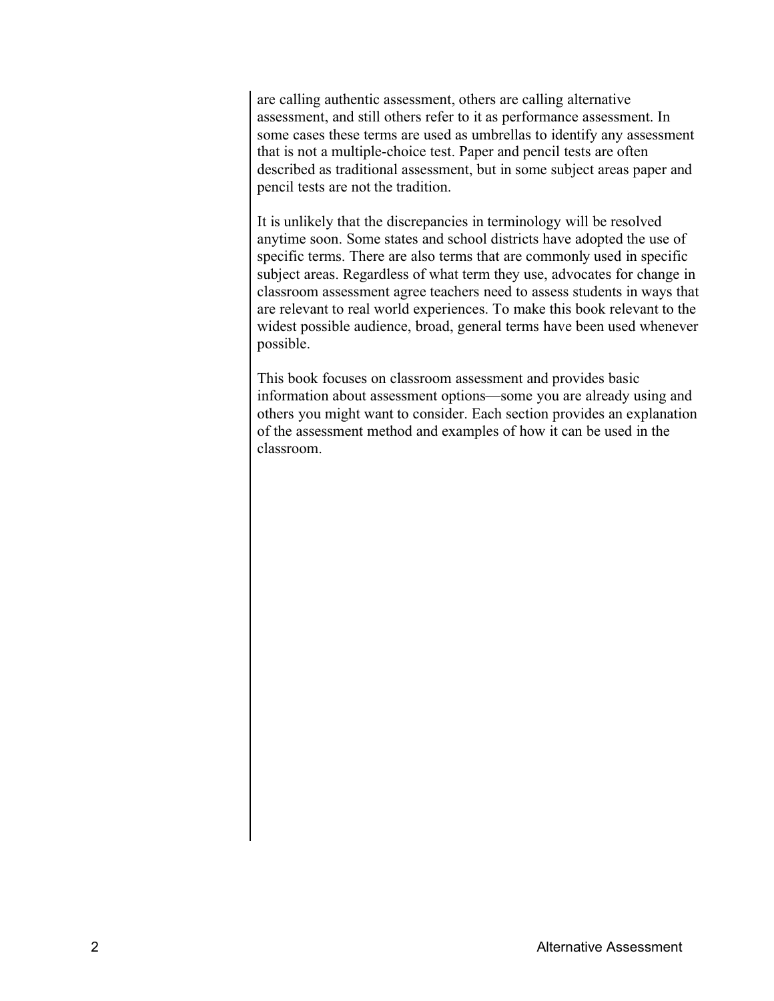are calling authentic assessment, others are calling alternative assessment, and still others refer to it as performance assessment. In some cases these terms are used as umbrellas to identify any assessment that is not a multiple-choice test. Paper and pencil tests are often described as traditional assessment, but in some subject areas paper and pencil tests are not the tradition.

It is unlikely that the discrepancies in terminology will be resolved anytime soon. Some states and school districts have adopted the use of specific terms. There are also terms that are commonly used in specific subject areas. Regardless of what term they use, advocates for change in classroom assessment agree teachers need to assess students in ways that are relevant to real world experiences. To make this book relevant to the widest possible audience, broad, general terms have been used whenever possible.

This book focuses on classroom assessment and provides basic information about assessment options—some you are already using and others you might want to consider. Each section provides an explanation of the assessment method and examples of how it can be used in the classroom.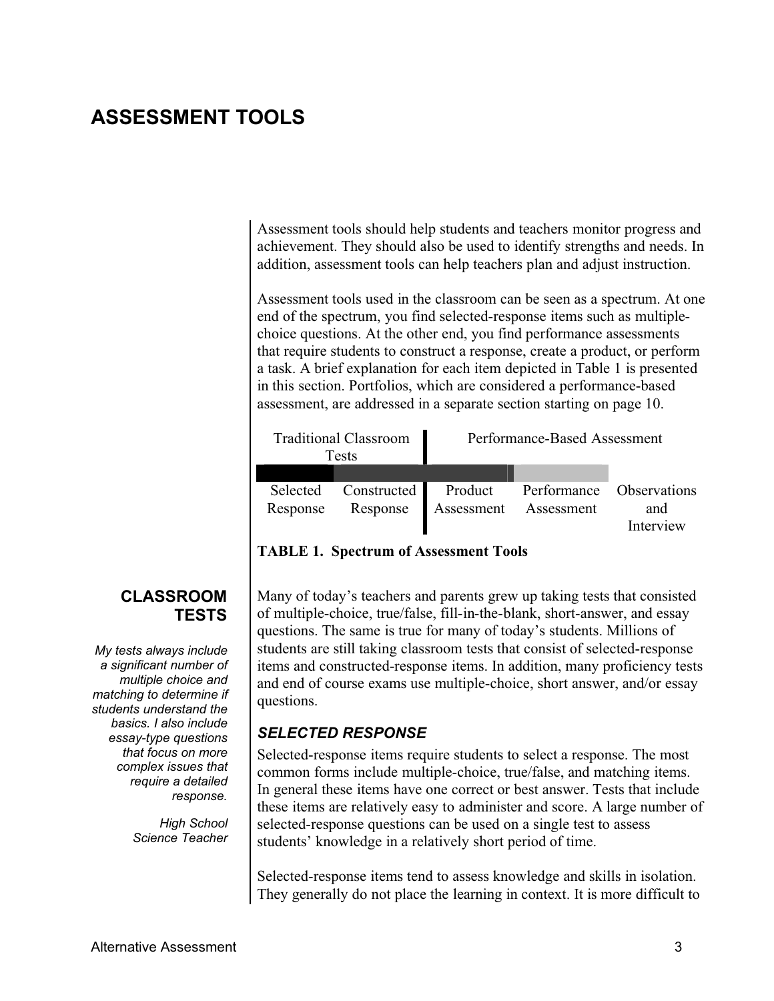#### **ASSESSMENT TOOLS ASSESSMENT TOOLS**

Assessment tools should help students and teachers monitor progress and achievement. They should also be used to identify strengths and needs. In addition, assessment tools can help teachers plan and adjust instruction.

Assessment tools used in the classroom can be seen as a spectrum. At one end of the spectrum, you find selected-response items such as multiplechoice questions. At the other end, you find performance assessments that require students to construct a response, create a product, or perform a task. A brief explanation for each item depicted in Table 1 is presented in this section. Portfolios, which are considered a performance-based assessment, are addressed in a separate section starting on page 10.

| <b>Traditional Classroom</b><br><b>Tests</b> |             | Performance-Based Assessment |                          |           |
|----------------------------------------------|-------------|------------------------------|--------------------------|-----------|
|                                              |             |                              |                          |           |
| Selected                                     | Constructed | Product                      | Performance Observations |           |
| Response                                     | Response    | Assessment                   | Assessment               | and       |
|                                              |             |                              |                          | Interview |

#### **TABLE 1. Spectrum of Assessment Tools**

#### Many of today's teachers and parents grew up taking tests that consisted of multiple-choice, true/false, fill-in-the-blank, short-answer, and essay questions. The same is true for many of today's students. Millions of students are still taking classroom tests that consist of selected-response items and constructed-response items. In addition, many proficiency tests and end of course exams use multiple-choice, short answer, and/or essay questions.

#### *SELECTED RESPONSE*

Selected-response items require students to select a response. The most common forms include multiple-choice, true/false, and matching items. In general these items have one correct or best answer. Tests that include these items are relatively easy to administer and score. A large number of selected-response questions can be used on a single test to assess students' knowledge in a relatively short period of time.

Selected-response items tend to assess knowledge and skills in isolation. They generally do not place the learning in context. It is more difficult to

#### **CLASSROOM TESTS TESTS**

*My tests always include a significant number of multiple choice and matching to determine if students understand the basics. I also include essay-type questions that focus on more complex issues that require a detailed response.*

> *High School Science Teacher*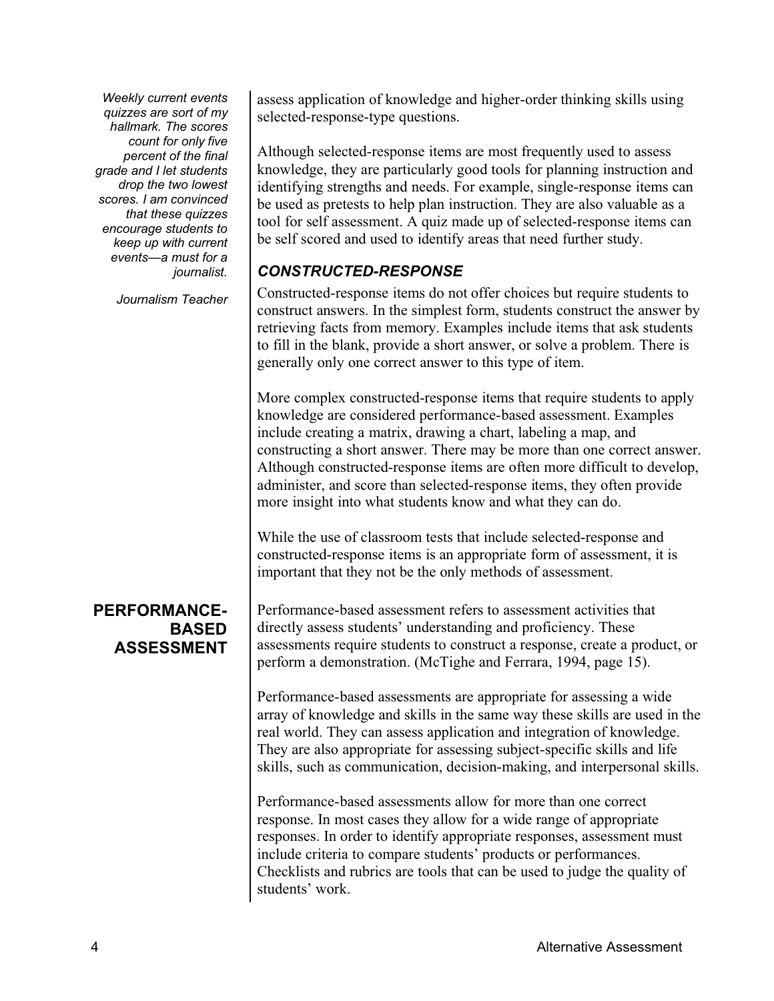*Weekly current events quizzes are sort of my hallmark. The scores count for only five percent of the final grade and I let students drop the two lowest scores. I am convinced that these quizzes encourage students to keep up with current eventsÿa must for a journalist.*

*Journalism Teacher*

#### **PERFORMANCE-BASED ASSESSMENT ASSESSMENT**

assess application of knowledge and higher-order thinking skills using selected-response-type questions.

Although selected-response items are most frequently used to assess knowledge, they are particularly good tools for planning instruction and identifying strengths and needs. For example, single-response items can be used as pretests to help plan instruction. They are also valuable as a tool for self assessment. A quiz made up of selected-response items can be self scored and used to identify areas that need further study.

#### *CONSTRUCTED-RESPONSE*

Constructed-response items do not offer choices but require students to construct answers. In the simplest form, students construct the answer by retrieving facts from memory. Examples include items that ask students to fill in the blank, provide a short answer, or solve a problem. There is generally only one correct answer to this type of item.

More complex constructed-response items that require students to apply knowledge are considered performance-based assessment. Examples include creating a matrix, drawing a chart, labeling a map, and constructing a short answer. There may be more than one correct answer. Although constructed-response items are often more difficult to develop, administer, and score than selected-response items, they often provide more insight into what students know and what they can do.

While the use of classroom tests that include selected-response and constructed-response items is an appropriate form of assessment, it is important that they not be the only methods of assessment.

Performance-based assessment refers to assessment activities that directly assess students' understanding and proficiency. These assessments require students to construct a response, create a product, or perform a demonstration. (McTighe and Ferrara, 1994, page 15).

Performance-based assessments are appropriate for assessing a wide array of knowledge and skills in the same way these skills are used in the real world. They can assess application and integration of knowledge. They are also appropriate for assessing subject-specific skills and life skills, such as communication, decision-making, and interpersonal skills.

Performance-based assessments allow for more than one correct response. In most cases they allow for a wide range of appropriate responses. In order to identify appropriate responses, assessment must include criteria to compare students<sup>†</sup> products or performances. Checklists and rubrics are tools that can be used to judge the quality of students' work.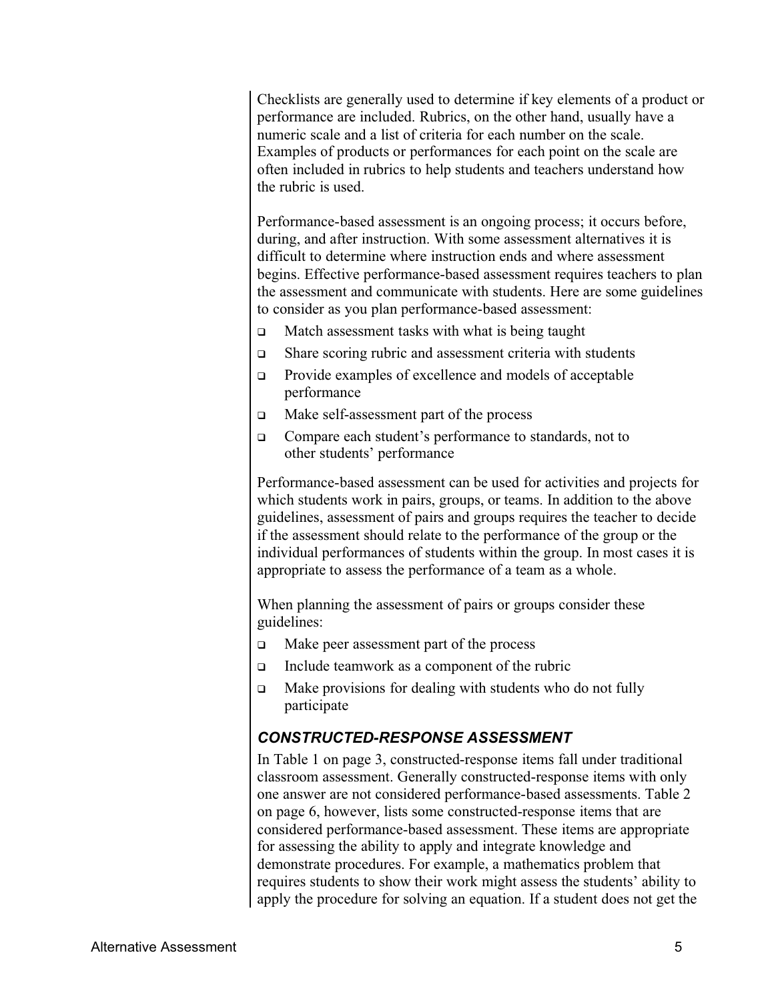Checklists are generally used to determine if key elements of a product or performance are included. Rubrics, on the other hand, usually have a numeric scale and a list of criteria for each number on the scale. Examples of products or performances for each point on the scale are often included in rubrics to help students and teachers understand how the rubric is used.

Performance-based assessment is an ongoing process; it occurs before, during, and after instruction. With some assessment alternatives it is difficult to determine where instruction ends and where assessment begins. Effective performance-based assessment requires teachers to plan the assessment and communicate with students. Here are some guidelines to consider as you plan performance-based assessment:

- $\Box$  Match assessment tasks with what is being taught
- $\Box$  Share scoring rubric and assessment criteria with students
- $\Box$  Provide examples of excellence and models of acceptable performance
- □ Make self-assessment part of the process
- □ Compare each student's performance to standards, not to other students' performance

Performance-based assessment can be used for activities and projects for which students work in pairs, groups, or teams. In addition to the above guidelines, assessment of pairs and groups requires the teacher to decide if the assessment should relate to the performance of the group or the individual performances of students within the group. In most cases it is appropriate to assess the performance of a team as a whole.

When planning the assessment of pairs or groups consider these guidelines:

- $\Box$  Make peer assessment part of the process
- $\Box$  Include teamwork as a component of the rubric
- $\Box$  Make provisions for dealing with students who do not fully participate

#### *CONSTRUCTED-RESPONSE ASSESSMENT*

In Table 1 on page 3, constructed-response items fall under traditional classroom assessment. Generally constructed-response items with only one answer are not considered performance-based assessments. Table 2 on page 6, however, lists some constructed-response items that are considered performance-based assessment. These items are appropriate for assessing the ability to apply and integrate knowledge and demonstrate procedures. For example, a mathematics problem that requires students to show their work might assess the students' ability to apply the procedure for solving an equation. If a student does not get the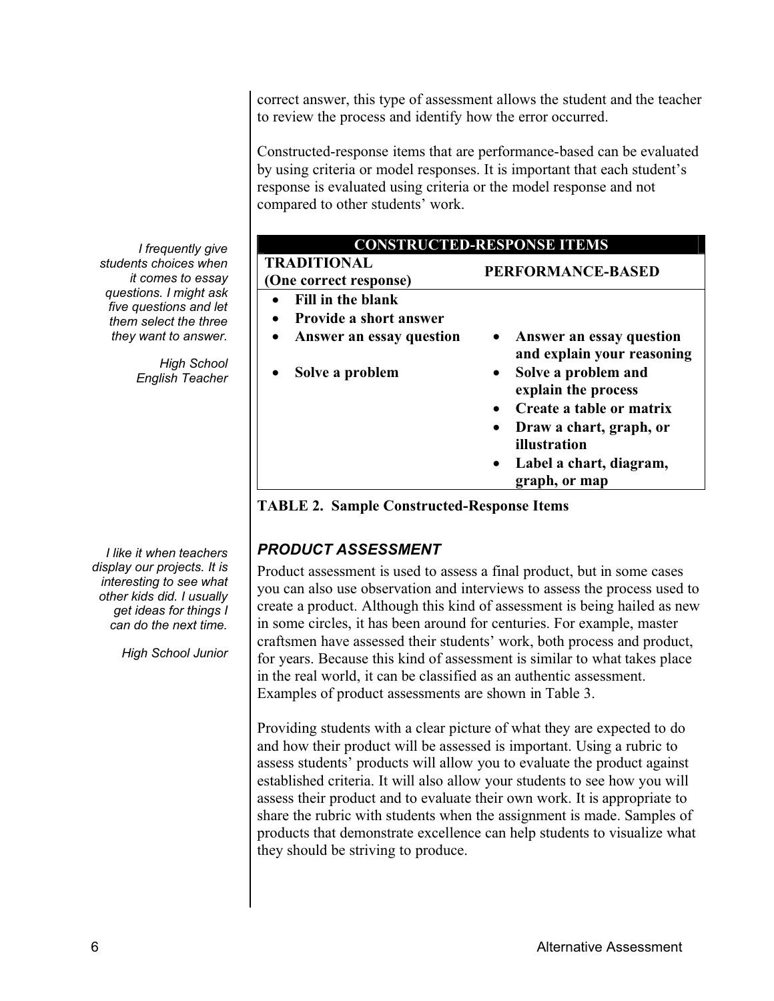correct answer, this type of assessment allows the student and the teacher to review the process and identify how the error occurred.

Constructed-response items that are performance-based can be evaluated by using criteria or model responses. It is important that each student's response is evaluated using criteria or the model response and not compared to other students' work.

| <b>CONSTRUCTED-RESPONSE ITEMS</b>                  |                                                        |  |
|----------------------------------------------------|--------------------------------------------------------|--|
| <b>TRADITIONAL</b><br>(One correct response)       | <b>PERFORMANCE-BASED</b>                               |  |
| Fill in the blank<br><b>Provide a short answer</b> |                                                        |  |
| Answer an essay question                           | Answer an essay question<br>and explain your reasoning |  |
| Solve a problem                                    | Solve a problem and<br>explain the process             |  |
|                                                    | Create a table or matrix                               |  |
|                                                    | Draw a chart, graph, or<br>illustration                |  |
|                                                    | Label a chart, diagram,<br>graph, or map               |  |

**TABLE 2. Sample Constructed-Response Items**

#### *PRODUCT ASSESSMENT*

Product assessment is used to assess a final product, but in some cases you can also use observation and interviews to assess the process used to create a product. Although this kind of assessment is being hailed as new in some circles, it has been around for centuries. For example, master craftsmen have assessed their students' work, both process and product, for years. Because this kind of assessment is similar to what takes place in the real world, it can be classified as an authentic assessment. Examples of product assessments are shown in Table 3.

Providing students with a clear picture of what they are expected to do and how their product will be assessed is important. Using a rubric to assess students' products will allow you to evaluate the product against established criteria. It will also allow your students to see how you will assess their product and to evaluate their own work. It is appropriate to share the rubric with students when the assignment is made. Samples of products that demonstrate excellence can help students to visualize what they should be striving to produce.

*I frequently give students choices when it comes to essay questions. I might ask five questions and let them select the three they want to answer.*

> *High School English Teacher*

*I like it when teachers display our projects. It is interesting to see what other kids did. I usually get ideas for things I can do the next time.*

*High School Junior*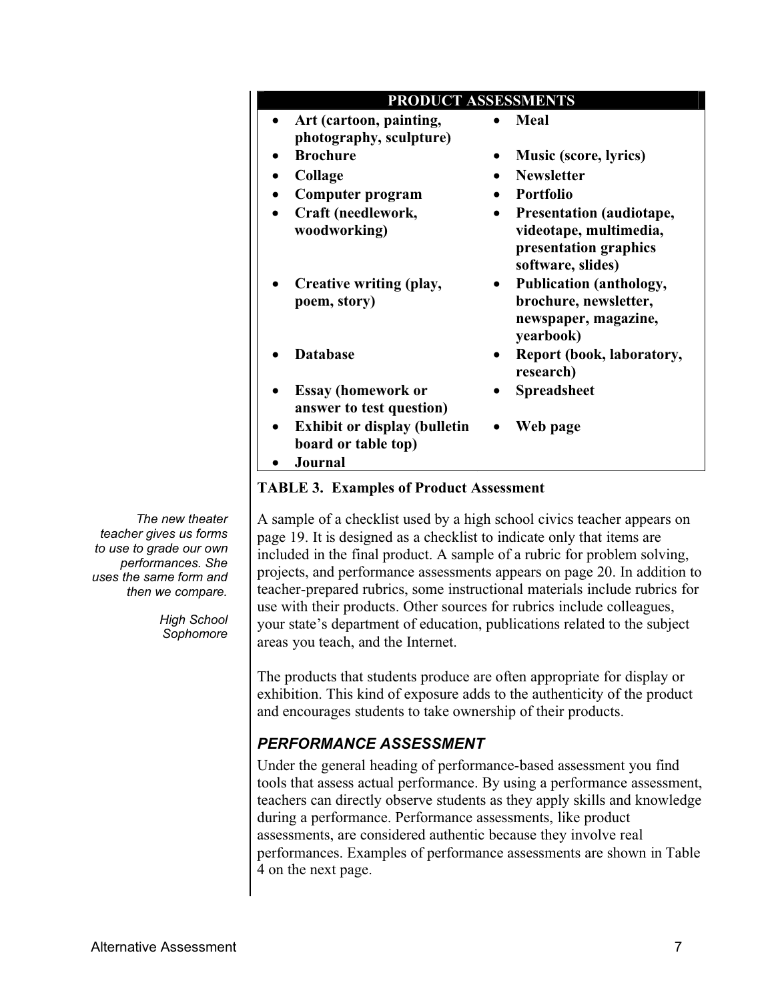*High School Sophomore*

#### A sample of a checklist used by a high school civics teacher appears on page 19. It is designed as a checklist to indicate only that items are included in the final product. A sample of a rubric for problem solving, projects, and performance assessments appears on page 20. In addition to teacher-prepared rubrics, some instructional materials include rubrics for use with their products. Other sources for rubrics include colleagues, your state's department of education, publications related to the subject areas you teach, and the Internet.

The products that students produce are often appropriate for display or exhibition. This kind of exposure adds to the authenticity of the product and encourages students to take ownership of their products.

#### *PERFORMANCE ASSESSMENT*

Under the general heading of performance-based assessment you find tools that assess actual performance. By using a performance assessment, teachers can directly observe students as they apply skills and knowledge during a performance. Performance assessments, like product assessments, are considered authentic because they involve real performances. Examples of performance assessments are shown in Table 4 on the next page.

| Art (cartoon, painting,<br>photography, sculpture)         | Meal                                                                                             |
|------------------------------------------------------------|--------------------------------------------------------------------------------------------------|
| <b>Brochure</b>                                            | <b>Music (score, lyrics)</b>                                                                     |
| Collage                                                    | <b>Newsletter</b>                                                                                |
| <b>Computer program</b>                                    | <b>Portfolio</b>                                                                                 |
| Craft (needlework,<br>woodworking)                         | Presentation (audiotape,<br>videotape, multimedia,<br>presentation graphics<br>software, slides) |
| Creative writing (play,<br>poem, story)                    | <b>Publication (anthology,</b><br>brochure, newsletter,<br>newspaper, magazine,<br>yearbook)     |
| <b>Database</b>                                            | Report (book, laboratory,<br>research)                                                           |
| <b>Essay (homework or</b><br>answer to test question)      | <b>Spreadsheet</b>                                                                               |
| <b>Exhibit or display (bulletin</b><br>board or table top) | Web page                                                                                         |

**PRODUCT ASSESSMENTS**

ÿ **Journal**

#### **TABLE 3. Examples of Product Assessment**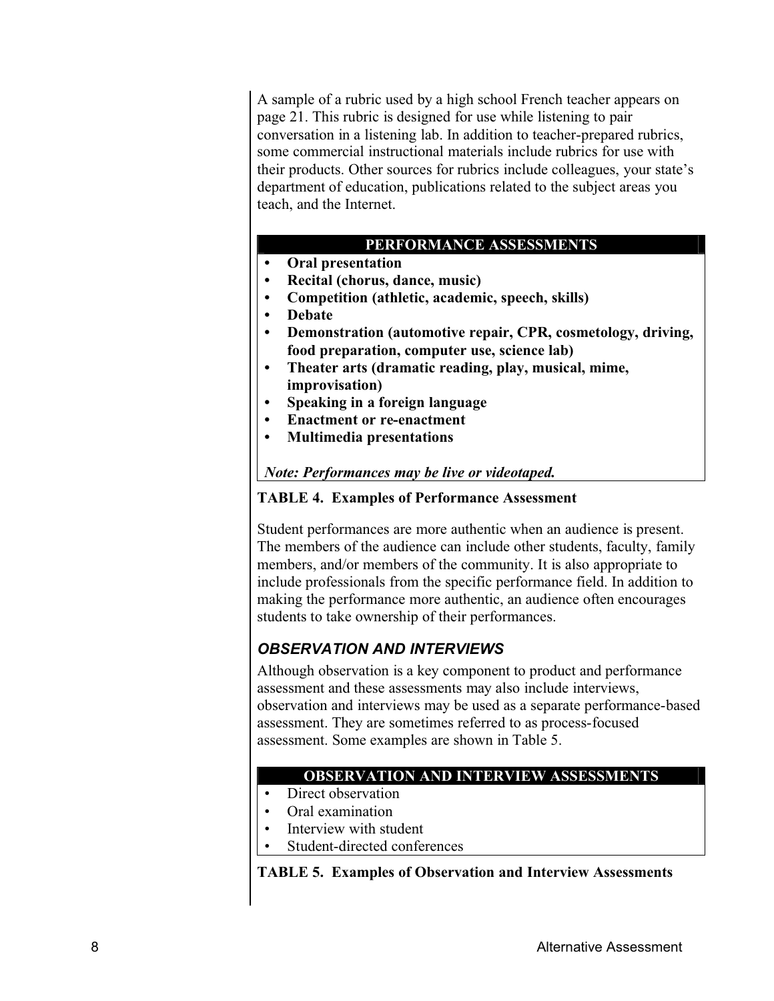A sample of a rubric used by a high school French teacher appears on page 21. This rubric is designed for use while listening to pair conversation in a listening lab. In addition to teacher-prepared rubrics, some commercial instructional materials include rubrics for use with their products. Other sources for rubrics include colleagues, your state's department of education, publications related to the subject areas you teach, and the Internet.

#### **PERFORMANCE ASSESSMENTS**

- **ÿ Oral presentation**
- **ÿ Recital (chorus, dance, music)**
- **ÿ Competition (athletic, academic, speech, skills)**
- **ÿ Debate**
- **ÿ Demonstration (automotive repair, CPR, cosmetology, driving, food preparation, computer use, science lab)**
- **ÿ Theater arts (dramatic reading, play, musical, mime, improvisation)**
- **ÿ Speaking in a foreign language**
- **ÿ Enactment or re-enactment**
- **ÿ Multimedia presentations**

#### *Note: Performances may be live or videotaped.*

#### **TABLE 4. Examples of Performance Assessment**

Student performances are more authentic when an audience is present. The members of the audience can include other students, faculty, family members, and/or members of the community. It is also appropriate to include professionals from the specific performance field. In addition to making the performance more authentic, an audience often encourages students to take ownership of their performances.

#### *OBSERVATION AND INTERVIEWS*

Although observation is a key component to product and performance assessment and these assessments may also include interviews, observation and interviews may be used as a separate performance-based assessment. They are sometimes referred to as process-focused assessment. Some examples are shown in Table 5.

#### **OBSERVATION AND INTERVIEW ASSESSMENTS**

- Direct observation
- Oral examination
- Interview with student
- Student-directed conferences

**TABLE 5. Examples of Observation and Interview Assessments**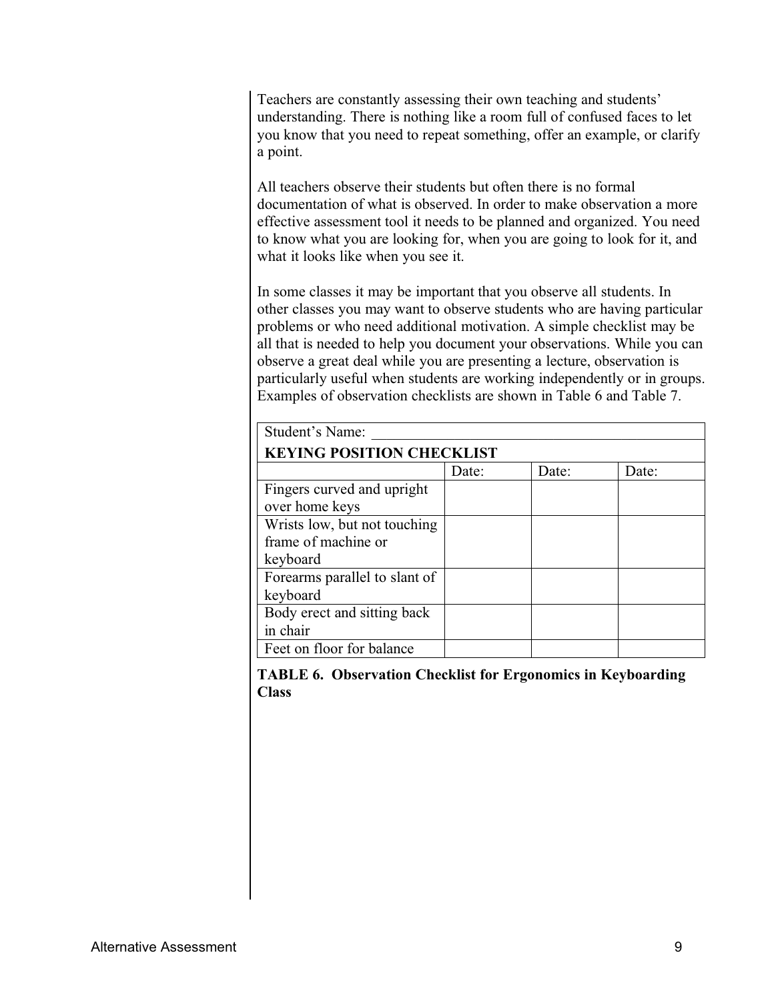Teachers are constantly assessing their own teaching and students' understanding. There is nothing like a room full of confused faces to let you know that you need to repeat something, offer an example, or clarify a point.

All teachers observe their students but often there is no formal documentation of what is observed. In order to make observation a more effective assessment tool it needs to be planned and organized. You need to know what you are looking for, when you are going to look for it, and what it looks like when you see it.

In some classes it may be important that you observe all students. In other classes you may want to observe students who are having particular problems or who need additional motivation. A simple checklist may be all that is needed to help you document your observations. While you can observe a great deal while you are presenting a lecture, observation is particularly useful when students are working independently or in groups. Examples of observation checklists are shown in Table 6 and Table 7.

| Student's Name:                  |       |       |       |
|----------------------------------|-------|-------|-------|
| <b>KEYING POSITION CHECKLIST</b> |       |       |       |
|                                  | Date: | Date: | Date: |
| Fingers curved and upright       |       |       |       |
| over home keys                   |       |       |       |
| Wrists low, but not touching     |       |       |       |
| frame of machine or              |       |       |       |
| keyboard                         |       |       |       |
| Forearms parallel to slant of    |       |       |       |
| keyboard                         |       |       |       |
| Body erect and sitting back      |       |       |       |
| in chair                         |       |       |       |
| Feet on floor for balance        |       |       |       |

**TABLE 6. Observation Checklist for Ergonomics in Keyboarding Class**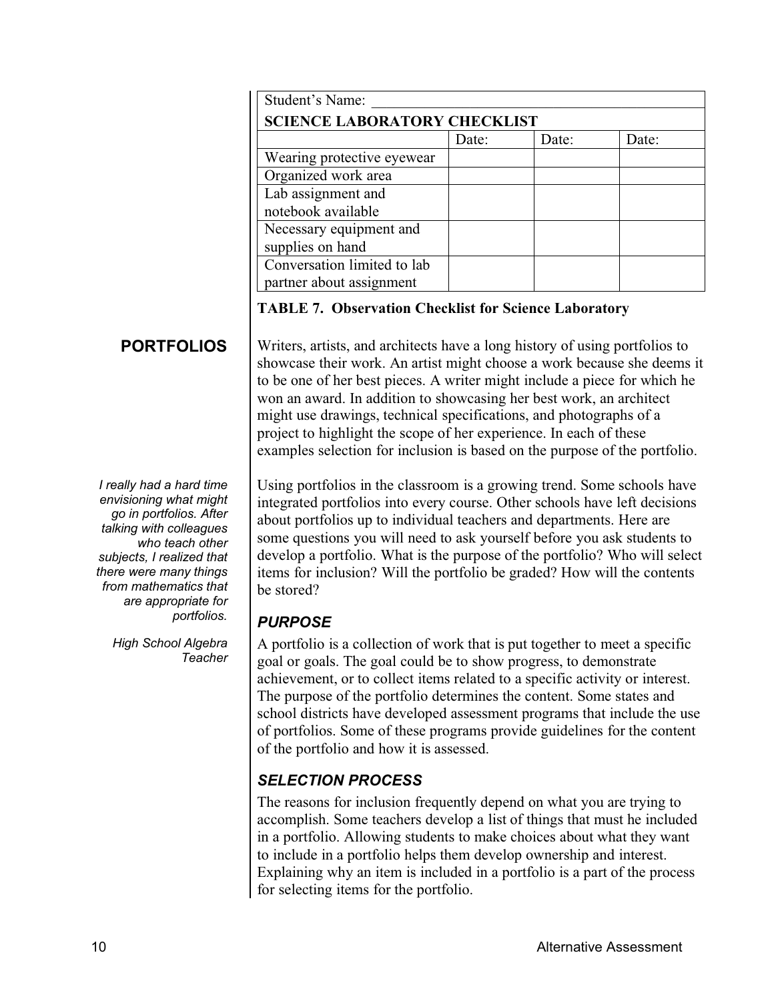| Student's Name:                     |       |       |       |
|-------------------------------------|-------|-------|-------|
| <b>SCIENCE LABORATORY CHECKLIST</b> |       |       |       |
|                                     | Date: | Date: | Date: |
| Wearing protective eyewear          |       |       |       |
| Organized work area                 |       |       |       |
| Lab assignment and                  |       |       |       |
| notebook available                  |       |       |       |
| Necessary equipment and             |       |       |       |
| supplies on hand                    |       |       |       |
| Conversation limited to lab         |       |       |       |
| partner about assignment            |       |       |       |

#### **TABLE 7. Observation Checklist for Science Laboratory**

#### **PORTFOLIOS PORTFOLIOS**

*I really had a hard time envisioning what might go in portfolios. After talking with colleagues who teach other subjects, I realized that there were many things from mathematics that are appropriate for portfolios.*

> *High School Algebra Teacher*

Writers, artists, and architects have a long history of using portfolios to showcase their work. An artist might choose a work because she deems it to be one of her best pieces. A writer might include a piece for which he won an award. In addition to showcasing her best work, an architect might use drawings, technical specifications, and photographs of a project to highlight the scope of her experience. In each of these examples selection for inclusion is based on the purpose of the portfolio.

Using portfolios in the classroom is a growing trend. Some schools have integrated portfolios into every course. Other schools have left decisions about portfolios up to individual teachers and departments. Here are some questions you will need to ask yourself before you ask students to develop a portfolio. What is the purpose of the portfolio? Who will select items for inclusion? Will the portfolio be graded? How will the contents be stored?

#### *PURPOSE*

A portfolio is a collection of work that is put together to meet a specific goal or goals. The goal could be to show progress, to demonstrate achievement, or to collect items related to a specific activity or interest. The purpose of the portfolio determines the content. Some states and school districts have developed assessment programs that include the use of portfolios. Some of these programs provide guidelines for the content of the portfolio and how it is assessed.

#### *SELECTION PROCESS*

The reasons for inclusion frequently depend on what you are trying to accomplish. Some teachers develop a list of things that must he included in a portfolio. Allowing students to make choices about what they want to include in a portfolio helps them develop ownership and interest. Explaining why an item is included in a portfolio is a part of the process for selecting items for the portfolio.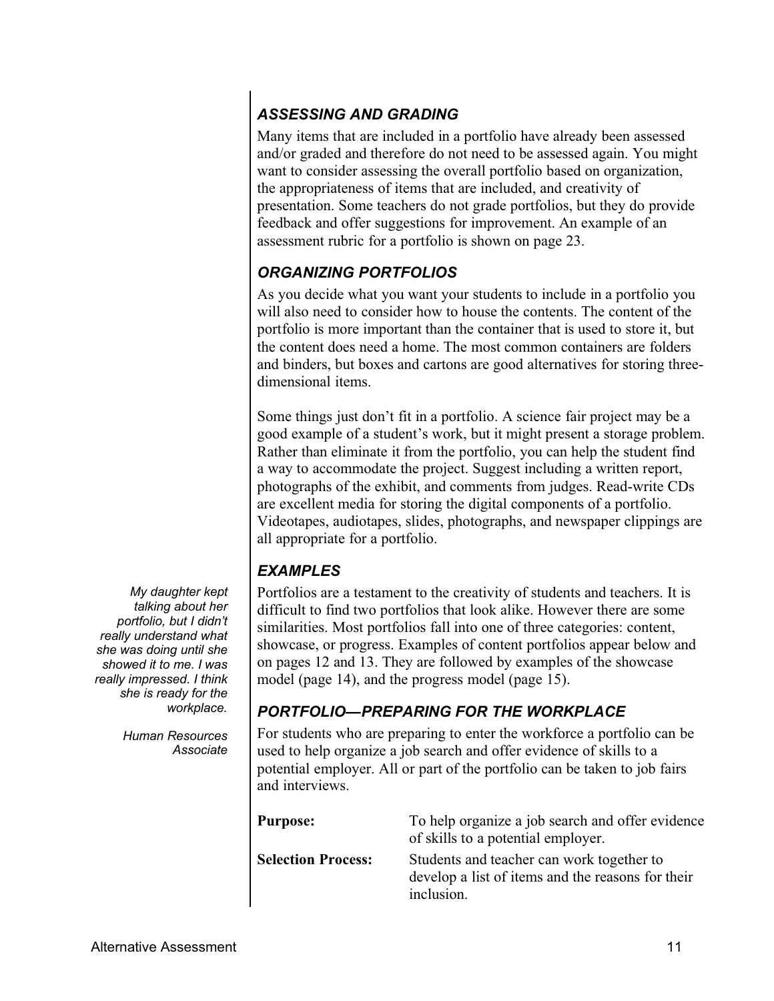#### *ASSESSING AND GRADING*

Many items that are included in a portfolio have already been assessed and/or graded and therefore do not need to be assessed again. You might want to consider assessing the overall portfolio based on organization, the appropriateness of items that are included, and creativity of presentation. Some teachers do not grade portfolios, but they do provide feedback and offer suggestions for improvement. An example of an assessment rubric for a portfolio is shown on page 23.

#### *ORGANIZING PORTFOLIOS*

As you decide what you want your students to include in a portfolio you will also need to consider how to house the contents. The content of the portfolio is more important than the container that is used to store it, but the content does need a home. The most common containers are folders and binders, but boxes and cartons are good alternatives for storing threedimensional items.

Some things just don't fit in a portfolio. A science fair project may be a good example of a student's work, but it might present a storage problem. Rather than eliminate it from the portfolio, you can help the student find a way to accommodate the project. Suggest including a written report, photographs of the exhibit, and comments from judges. Read-write CDs are excellent media for storing the digital components of a portfolio. Videotapes, audiotapes, slides, photographs, and newspaper clippings are all appropriate for a portfolio.

#### *EXAMPLES*

Portfolios are a testament to the creativity of students and teachers. It is difficult to find two portfolios that look alike. However there are some similarities. Most portfolios fall into one of three categories: content, showcase, or progress. Examples of content portfolios appear below and on pages 12 and 13. They are followed by examples of the showcase model (page 14), and the progress model (page 15).

#### *PORTFOLIOÿPREPARING FOR THE WORKPLACE*

For students who are preparing to enter the workforce a portfolio can be used to help organize a job search and offer evidence of skills to a potential employer. All or part of the portfolio can be taken to job fairs and interviews.

| <b>Purpose:</b>           | To help organize a job search and offer evidence<br>of skills to a potential employer.                       |
|---------------------------|--------------------------------------------------------------------------------------------------------------|
| <b>Selection Process:</b> | Students and teacher can work together to<br>develop a list of items and the reasons for their<br>inclusion. |

*My daughter kept talking about her portfolio, but I didn't really understand what she was doing until she showed it to me. I was really impressed. I think she is ready for the workplace.*

> *Human Resources Associate*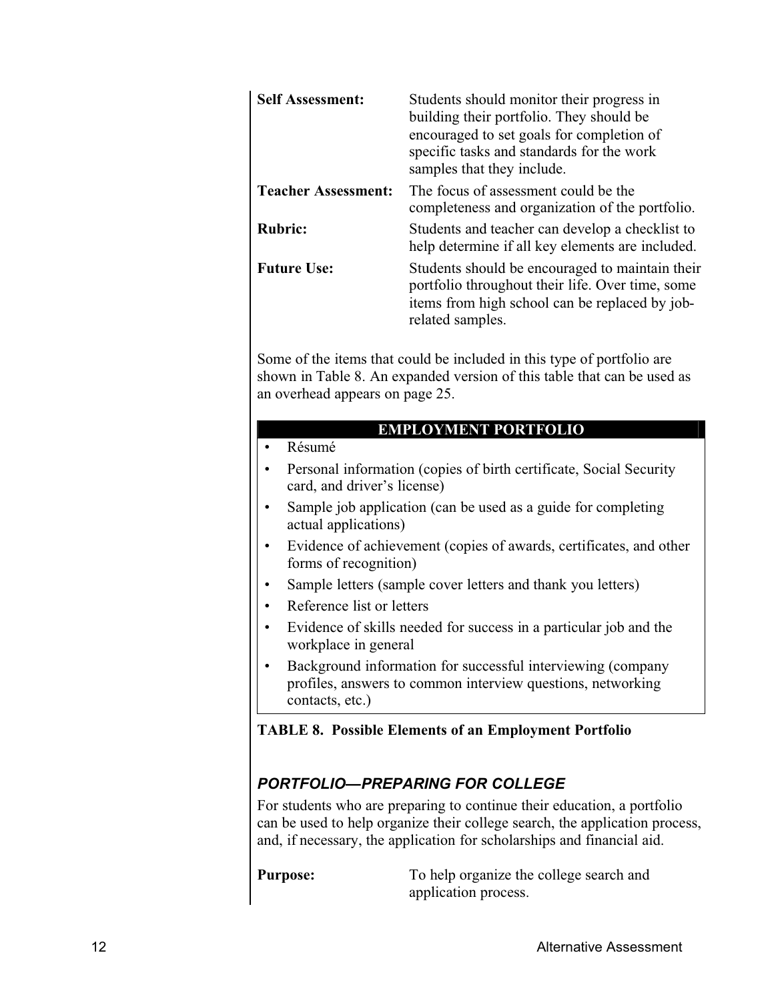| <b>Self Assessment:</b>    | Students should monitor their progress in<br>building their portfolio. They should be<br>encouraged to set goals for completion of<br>specific tasks and standards for the work<br>samples that they include. |
|----------------------------|---------------------------------------------------------------------------------------------------------------------------------------------------------------------------------------------------------------|
| <b>Teacher Assessment:</b> | The focus of assessment could be the<br>completeness and organization of the portfolio.                                                                                                                       |
| <b>Rubric:</b>             | Students and teacher can develop a checklist to<br>help determine if all key elements are included.                                                                                                           |
| <b>Future Use:</b>         | Students should be encouraged to maintain their<br>portfolio throughout their life. Over time, some<br>items from high school can be replaced by job-<br>related samples.                                     |

Some of the items that could be included in this type of portfolio are shown in Table 8. An expanded version of this table that can be used as an overhead appears on page 25.

#### **EMPLOYMENT PORTFOLIO**

Résumé

- Personal information (copies of birth certificate, Social Security card, and driver's license)
- Sample job application (can be used as a guide for completing actual applications)
- Evidence of achievement (copies of awards, certificates, and other forms of recognition)
- Sample letters (sample cover letters and thank you letters)
- Reference list or letters
- Evidence of skills needed for success in a particular job and the workplace in general
- Background information for successful interviewing (company profiles, answers to common interview questions, networking contacts, etc.)

#### **TABLE 8. Possible Elements of an Employment Portfolio**

#### *PORTFOLIOÿPREPARING FOR COLLEGE*

For students who are preparing to continue their education, a portfolio can be used to help organize their college search, the application process, and, if necessary, the application for scholarships and financial aid.

**Purpose:** To help organize the college search and application process.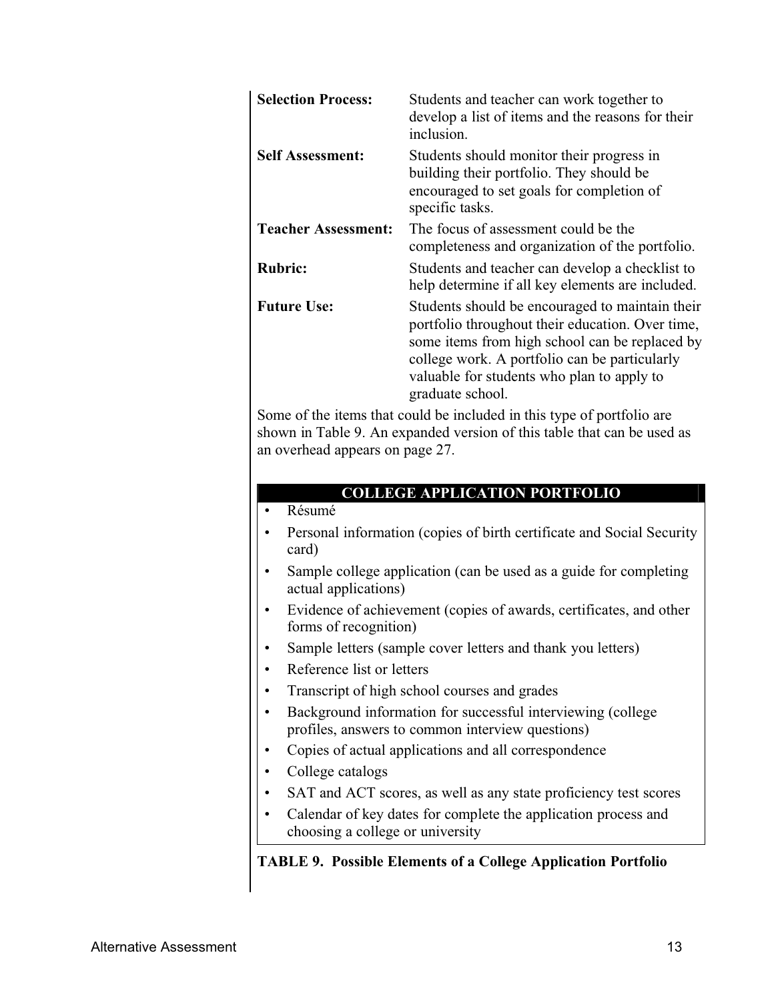| <b>Selection Process:</b>  | Students and teacher can work together to<br>develop a list of items and the reasons for their<br>inclusion.                                                                                                                                                             |
|----------------------------|--------------------------------------------------------------------------------------------------------------------------------------------------------------------------------------------------------------------------------------------------------------------------|
| <b>Self Assessment:</b>    | Students should monitor their progress in<br>building their portfolio. They should be<br>encouraged to set goals for completion of<br>specific tasks.                                                                                                                    |
| <b>Teacher Assessment:</b> | The focus of assessment could be the<br>completeness and organization of the portfolio.                                                                                                                                                                                  |
| <b>Rubric:</b>             | Students and teacher can develop a checklist to<br>help determine if all key elements are included.                                                                                                                                                                      |
| <b>Future Use:</b>         | Students should be encouraged to maintain their<br>portfolio throughout their education. Over time,<br>some items from high school can be replaced by<br>college work. A portfolio can be particularly<br>valuable for students who plan to apply to<br>graduate school. |

Some of the items that could be included in this type of portfolio are shown in Table 9. An expanded version of this table that can be used as an overhead appears on page 27.

#### **COLLEGE APPLICATION PORTFOLIO**

- Résumé
- Personal information (copies of birth certificate and Social Security card)
- Sample college application (can be used as a guide for completing actual applications)
- Evidence of achievement (copies of awards, certificates, and other forms of recognition)
- Sample letters (sample cover letters and thank you letters)
- Reference list or letters
- Transcript of high school courses and grades
- Background information for successful interviewing (college profiles, answers to common interview questions)
- Copies of actual applications and all correspondence
- College catalogs
- SAT and ACT scores, as well as any state proficiency test scores
- Calendar of key dates for complete the application process and choosing a college or university

#### **TABLE 9. Possible Elements of a College Application Portfolio**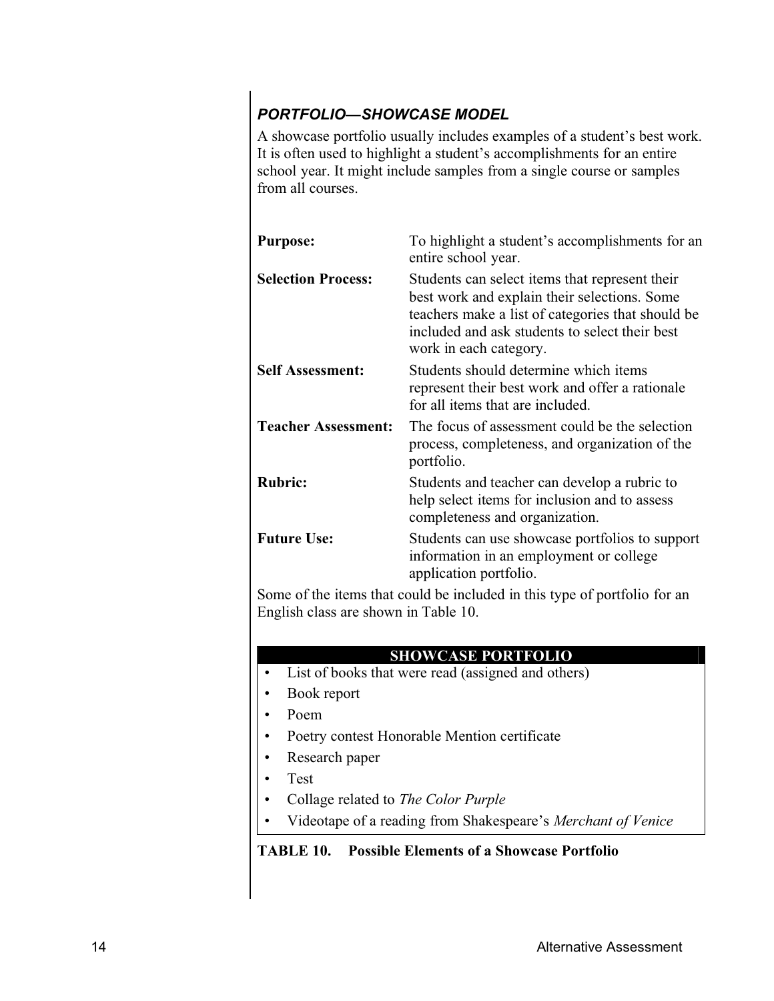#### **PORTFOLIO—SHOWCASE MODEL**

A showcase portfolio usually includes examples of a student's best work. It is often used to highlight a student's accomplishments for an entire school year. It might include samples from a single course or samples from all courses.

| <b>Purpose:</b>            | To highlight a student's accomplishments for an<br>entire school year.                                                                                                                                                          |
|----------------------------|---------------------------------------------------------------------------------------------------------------------------------------------------------------------------------------------------------------------------------|
| <b>Selection Process:</b>  | Students can select items that represent their<br>best work and explain their selections. Some<br>teachers make a list of categories that should be<br>included and ask students to select their best<br>work in each category. |
| <b>Self Assessment:</b>    | Students should determine which items<br>represent their best work and offer a rationale<br>for all items that are included.                                                                                                    |
| <b>Teacher Assessment:</b> | The focus of assessment could be the selection<br>process, completeness, and organization of the<br>portfolio.                                                                                                                  |
| <b>Rubric:</b>             | Students and teacher can develop a rubric to<br>help select items for inclusion and to assess<br>completeness and organization.                                                                                                 |
| <b>Future Use:</b>         | Students can use showcase portfolios to support<br>information in an employment or college<br>application portfolio.                                                                                                            |
|                            |                                                                                                                                                                                                                                 |

Some of the items that could be included in this type of portfolio for an English class are shown in Table 10.

#### **SHOWCASE PORTFOLIO**

- List of books that were read (assigned and others)
- Book report
- Poem
- Poetry contest Honorable Mention certificate
- Research paper
- Test
- ý Collage related to *The Color Purple*
- Videotape of a reading from Shakespeare's *Merchant of Venice*

#### **TABLE 10. Possible Elements of a Showcase Portfolio**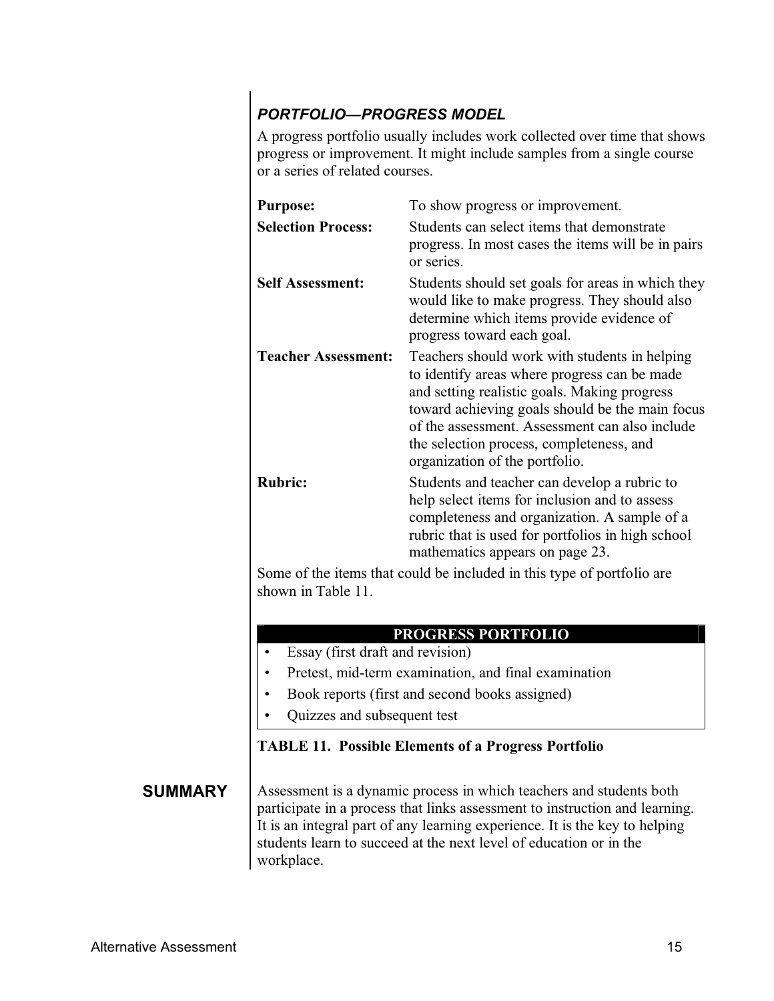#### *PORTFOLIOÿPROGRESS MODEL*

A progress portfolio usually includes work collected over time that shows progress or improvement. It might include samples from a single course or a series of related courses.

| <b>Purpose:</b>                                                        | To show progress or improvement.                                                                                                                                                                                                                                                                                                 |
|------------------------------------------------------------------------|----------------------------------------------------------------------------------------------------------------------------------------------------------------------------------------------------------------------------------------------------------------------------------------------------------------------------------|
| <b>Selection Process:</b>                                              | Students can select items that demonstrate<br>progress. In most cases the items will be in pairs<br>or series.                                                                                                                                                                                                                   |
| <b>Self Assessment:</b>                                                | Students should set goals for areas in which they<br>would like to make progress. They should also<br>determine which items provide evidence of<br>progress toward each goal.                                                                                                                                                    |
| <b>Teacher Assessment:</b>                                             | Teachers should work with students in helping<br>to identify areas where progress can be made<br>and setting realistic goals. Making progress<br>toward achieving goals should be the main focus<br>of the assessment. Assessment can also include<br>the selection process, completeness, and<br>organization of the portfolio. |
| <b>Rubric:</b>                                                         | Students and teacher can develop a rubric to<br>help select items for inclusion and to assess<br>completeness and organization. A sample of a<br>rubric that is used for portfolios in high school<br>mathematics appears on page 23.                                                                                            |
| Some of the items that could be included in this type of portfolio are |                                                                                                                                                                                                                                                                                                                                  |

of the items that could be included in this type of portfolio are shown in Table 11.

#### **PROGRESS PORTFOLIO**

- Essay (first draft and revision)
- Pretest, mid-term examination, and final examination
- Book reports (first and second books assigned)
- Quizzes and subsequent test

#### **TABLE 11. Possible Elements of a Progress Portfolio**

**SUMMARY** Assessment is a dynamic process in which teachers and students both participate in a process that links assessment to instruction and learning. It is an integral part of any learning experience. It is the key to helping students learn to succeed at the next level of education or in the workplace.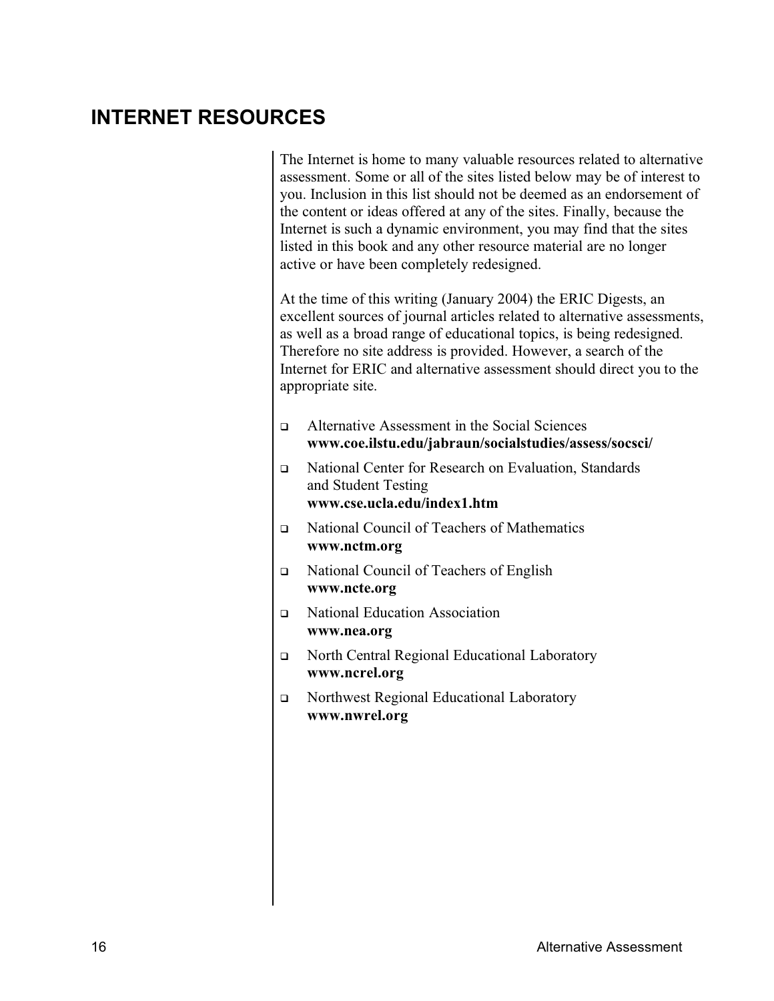#### **INTERNET RESOURCES INTERNET RESOURCES**

The Internet is home to many valuable resources related to alternative assessment. Some or all of the sites listed below may be of interest to you. Inclusion in this list should not be deemed as an endorsement of the content or ideas offered at any of the sites. Finally, because the Internet is such a dynamic environment, you may find that the sites listed in this book and any other resource material are no longer active or have been completely redesigned.

At the time of this writing (January 2004) the ERIC Digests, an excellent sources of journal articles related to alternative assessments, as well as a broad range of educational topics, is being redesigned. Therefore no site address is provided. However, a search of the Internet for ERIC and alternative assessment should direct you to the appropriate site.

- <sup>ÿ</sup> Alternative Assessment in the Social Sciences **www.coe.ilstu.edu/jabraun/socialstudies/assess/socsci/**
- □ National Center for Research on Evaluation, Standards and Student Testing **www.cse.ucla.edu/index1.htm**
- <sup>ÿ</sup> National Council of Teachers of Mathematics **www.nctm.org**
- □ National Council of Teachers of English **www.ncte.org**
- □ National Education Association **www.nea.org**
- □ North Central Regional Educational Laboratory **www.ncrel.org**
- □ Northwest Regional Educational Laboratory **www.nwrel.org**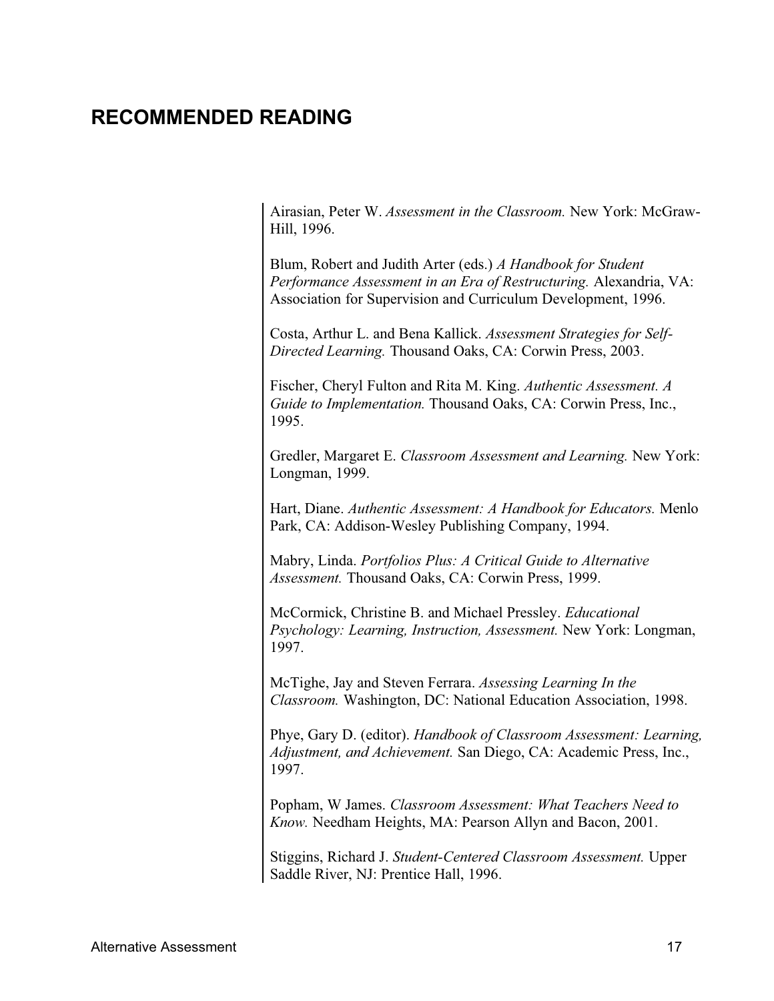#### **RECOMMENDED READING RECOMMENDED READING**

Airasian, Peter W. *Assessment in the Classroom.* New York: McGraw-Hill, 1996.

Blum, Robert and Judith Arter (eds.) *A Handbook for Student Performance Assessment in an Era of Restructuring.* Alexandria, VA: Association for Supervision and Curriculum Development, 1996.

Costa, Arthur L. and Bena Kallick. *Assessment Strategies for Self-Directed Learning.* Thousand Oaks, CA: Corwin Press, 2003.

Fischer, Cheryl Fulton and Rita M. King. *Authentic Assessment. A Guide to Implementation.* Thousand Oaks, CA: Corwin Press, Inc., 1995.

Gredler, Margaret E. *Classroom Assessment and Learning.* New York: Longman, 1999.

Hart, Diane. *Authentic Assessment: A Handbook for Educators.* Menlo Park, CA: Addison-Wesley Publishing Company, 1994.

Mabry, Linda. *Portfolios Plus: A Critical Guide to Alternative Assessment.* Thousand Oaks, CA: Corwin Press, 1999.

McCormick, Christine B. and Michael Pressley. *Educational Psychology: Learning, Instruction, Assessment.* New York: Longman, 1997.

McTighe, Jay and Steven Ferrara. *Assessing Learning In the Classroom.* Washington, DC: National Education Association, 1998.

Phye, Gary D. (editor). *Handbook of Classroom Assessment: Learning, Adjustment, and Achievement.* San Diego, CA: Academic Press, Inc., 1997.

Popham, W James. *Classroom Assessment: What Teachers Need to Know.* Needham Heights, MA: Pearson Allyn and Bacon, 2001.

Stiggins, Richard J. *Student-Centered Classroom Assessment.* Upper Saddle River, NJ: Prentice Hall, 1996.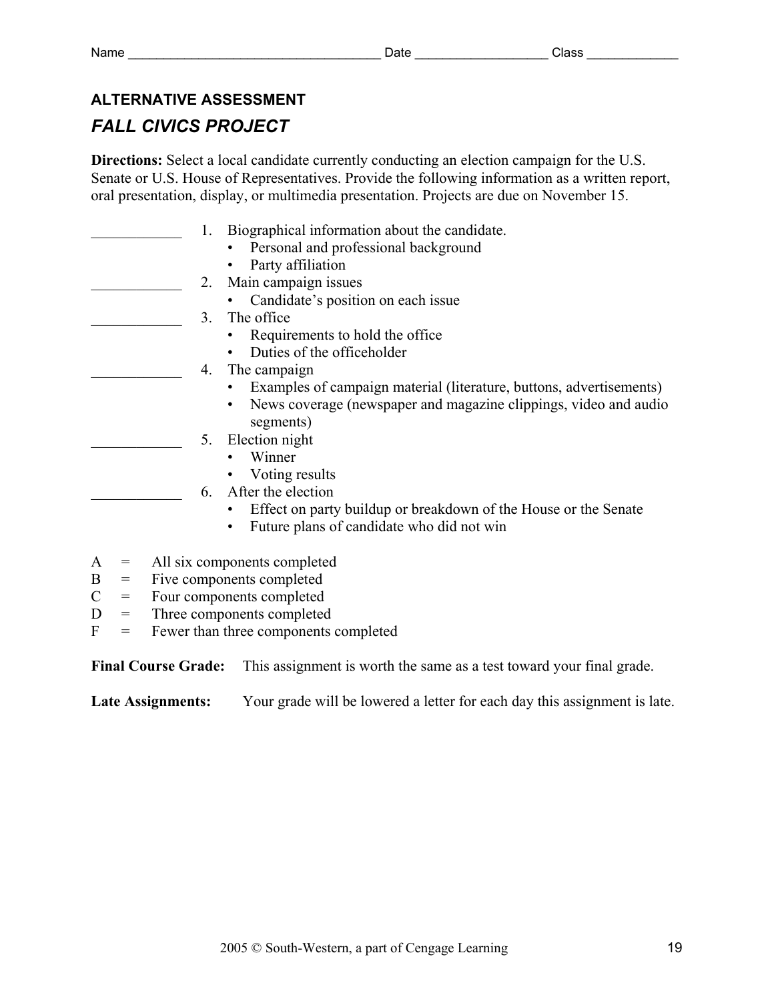#### **ALTERNATIVE ASSESSMENT**

#### *FALL CIVICS PROJECT*

**Directions:** Select a local candidate currently conducting an election campaign for the U.S. Senate or U.S. House of Representatives. Provide the following information as a written report, oral presentation, display, or multimedia presentation. Projects are due on November 15.

|   |                                              |                           |                           | Biographical information about the candidate.                       |  |  |  |  |
|---|----------------------------------------------|---------------------------|---------------------------|---------------------------------------------------------------------|--|--|--|--|
|   |                                              |                           |                           | Personal and professional background                                |  |  |  |  |
|   |                                              |                           |                           | Party affiliation                                                   |  |  |  |  |
|   |                                              |                           | 2.                        | Main campaign issues                                                |  |  |  |  |
|   |                                              |                           |                           | Candidate's position on each issue                                  |  |  |  |  |
|   |                                              |                           | 3                         | The office                                                          |  |  |  |  |
|   |                                              |                           |                           | Requirements to hold the office                                     |  |  |  |  |
|   |                                              |                           |                           | Duties of the officeholder                                          |  |  |  |  |
|   |                                              |                           | 4.                        | The campaign                                                        |  |  |  |  |
|   |                                              |                           |                           | Examples of campaign material (literature, buttons, advertisements) |  |  |  |  |
|   |                                              |                           |                           | News coverage (newspaper and magazine clippings, video and audio    |  |  |  |  |
|   |                                              |                           |                           | segments)                                                           |  |  |  |  |
|   |                                              |                           | 5.                        | Election night                                                      |  |  |  |  |
|   |                                              |                           |                           | Winner                                                              |  |  |  |  |
|   |                                              |                           |                           | Voting results                                                      |  |  |  |  |
|   |                                              |                           | 6.                        | After the election                                                  |  |  |  |  |
|   |                                              |                           |                           | Effect on party buildup or breakdown of the House or the Senate     |  |  |  |  |
|   |                                              |                           |                           | Future plans of candidate who did not win<br>٠                      |  |  |  |  |
| A | $\qquad \qquad =$                            |                           |                           | All six components completed                                        |  |  |  |  |
| B | $\displaystyle \qquad \qquad =\qquad \qquad$ |                           | Five components completed |                                                                     |  |  |  |  |
| C | $\!\!\!=\!\!\!$                              | Four components completed |                           |                                                                     |  |  |  |  |
|   |                                              |                           |                           |                                                                     |  |  |  |  |

- D = Three components completed
- $F =$  Fewer than three components completed

**Final Course Grade:** This assignment is worth the same as a test toward your final grade.

Late Assignments: Your grade will be lowered a letter for each day this assignment is late.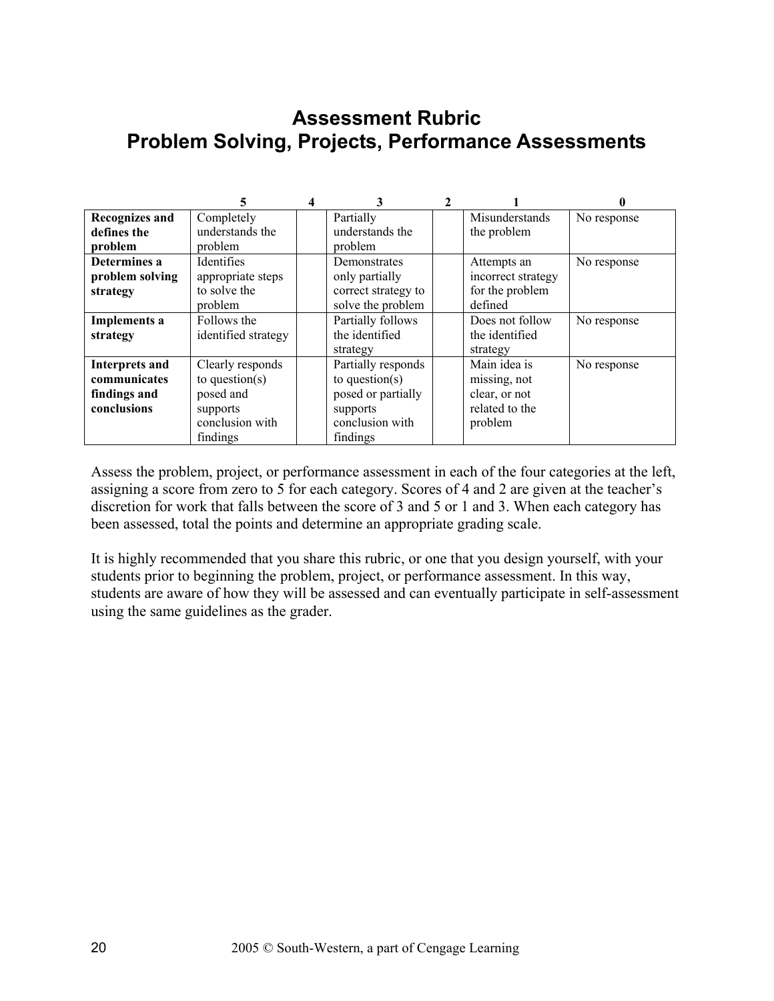#### **Assessment Rubric Problem Solving, Projects, Performance Assessments**

|                       | 5                   |                     |                    |             |
|-----------------------|---------------------|---------------------|--------------------|-------------|
| <b>Recognizes and</b> | Completely          | Partially           | Misunderstands     | No response |
| defines the           | understands the     | understands the     | the problem        |             |
| problem               | problem             | problem             |                    |             |
| Determines a          | <b>Identifies</b>   | Demonstrates        | Attempts an        | No response |
| problem solving       | appropriate steps   | only partially      | incorrect strategy |             |
| strategy              | to solve the        | correct strategy to | for the problem    |             |
|                       | problem             | solve the problem   | defined            |             |
| <b>Implements a</b>   | Follows the         | Partially follows   | Does not follow    | No response |
| strategy              | identified strategy | the identified      | the identified     |             |
|                       |                     | strategy            | strategy           |             |
| Interprets and        | Clearly responds    | Partially responds  | Main idea is       | No response |
| communicates          | to question( $s$ )  | to question( $s$ )  | missing, not       |             |
| findings and          | posed and           | posed or partially  | clear, or not      |             |
| conclusions           | supports            | supports            | related to the     |             |
|                       | conclusion with     | conclusion with     | problem            |             |
|                       | findings            | findings            |                    |             |

Assess the problem, project, or performance assessment in each of the four categories at the left, assigning a score from zero to 5 for each category. Scores of 4 and 2 are given at the teacher's discretion for work that falls between the score of 3 and 5 or 1 and 3. When each category has been assessed, total the points and determine an appropriate grading scale.

It is highly recommended that you share this rubric, or one that you design yourself, with your students prior to beginning the problem, project, or performance assessment. In this way, students are aware of how they will be assessed and can eventually participate in self-assessment using the same guidelines as the grader.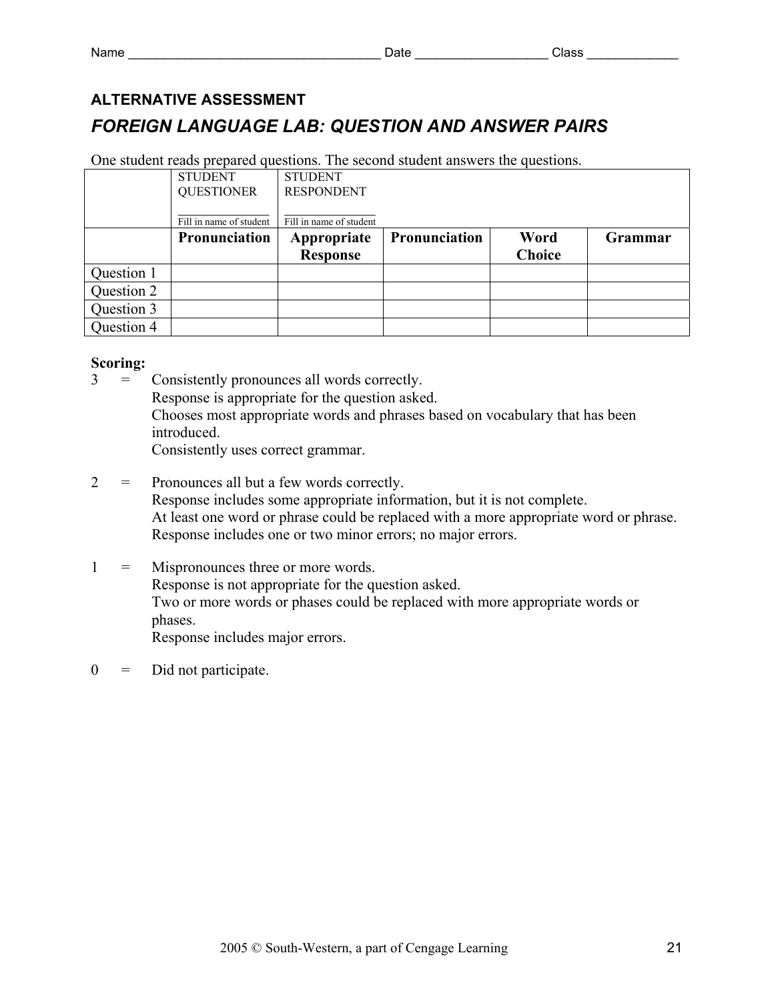### **ALTERNATIVE ASSESSMENT**  *FOREIGN LANGUAGE LAB: QUESTION AND ANSWER PAIRS*

One student reads prepared questions. The second student answers the questions.

|            | <b>STUDENT</b>          | <b>STUDENT</b>          |               |               |         |
|------------|-------------------------|-------------------------|---------------|---------------|---------|
|            | <b>QUESTIONER</b>       | <b>RESPONDENT</b>       |               |               |         |
|            |                         |                         |               |               |         |
|            | Fill in name of student | Fill in name of student |               |               |         |
|            | <b>Pronunciation</b>    | Appropriate             | Pronunciation | Word          | Grammar |
|            |                         | <b>Response</b>         |               | <b>Choice</b> |         |
| Question 1 |                         |                         |               |               |         |
| Question 2 |                         |                         |               |               |         |
| Question 3 |                         |                         |               |               |         |
| Question 4 |                         |                         |               |               |         |

#### **Scoring:**

3 = Consistently pronounces all words correctly.

Response is appropriate for the question asked.

 Chooses most appropriate words and phrases based on vocabulary that has been introduced.

Consistently uses correct grammar.

- 2 = Pronounces all but a few words correctly. Response includes some appropriate information, but it is not complete. At least one word or phrase could be replaced with a more appropriate word or phrase. Response includes one or two minor errors; no major errors.
- 1 = Mispronounces three or more words. Response is not appropriate for the question asked. Two or more words or phases could be replaced with more appropriate words or phases. Response includes major errors.
- $0 =$  Did not participate.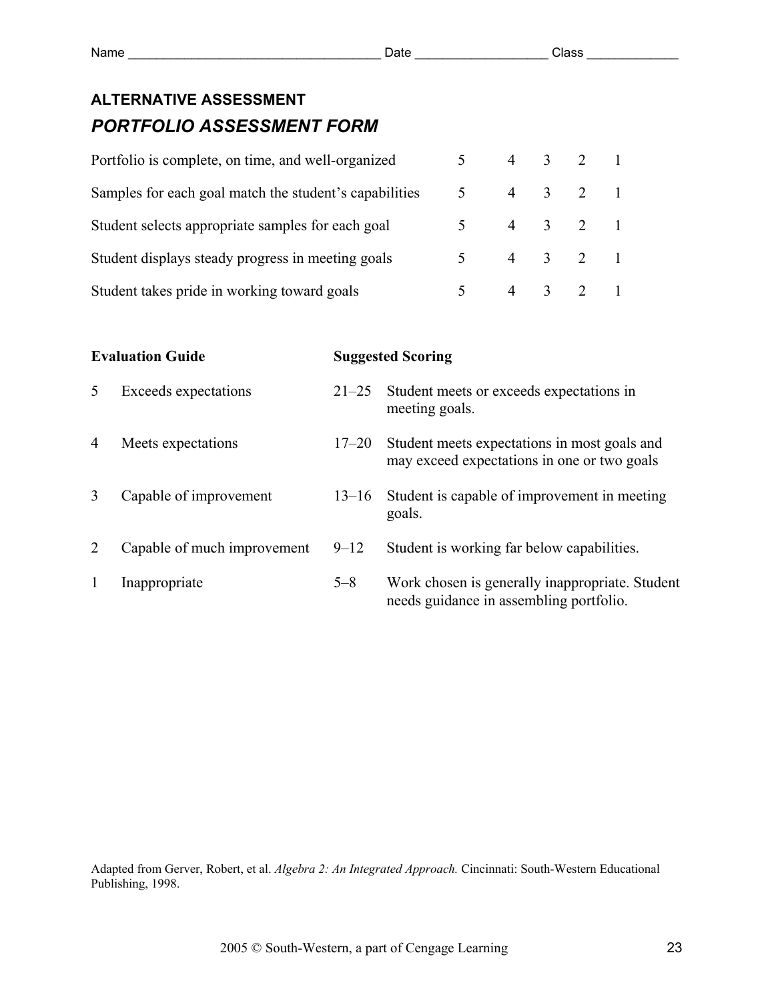#### **ALTERNATIVE ASSESSMENT**  *PORTFOLIO ASSESSMENT FORM*

| Portfolio is complete, on time, and well-organized     |                |         | $4 \t3 \t2 \t1$             |  |
|--------------------------------------------------------|----------------|---------|-----------------------------|--|
| Samples for each goal match the student's capabilities |                |         | 4 3 2 1                     |  |
| Student selects appropriate samples for each goal      | $5^{\circ}$    | 4 3 2 1 |                             |  |
| Student displays steady progress in meeting goals      |                |         | 4 3 2 1                     |  |
| Student takes pride in working toward goals            | 5 <sup>7</sup> |         | $4 \quad 3 \quad 2 \quad 1$ |  |

|                | <b>Evaluation Guide</b>     | <b>Suggested Scoring</b> |                                                                                             |  |  |
|----------------|-----------------------------|--------------------------|---------------------------------------------------------------------------------------------|--|--|
| 5              | Exceeds expectations        | $21 - 25$                | Student meets or exceeds expectations in<br>meeting goals.                                  |  |  |
| $\overline{4}$ | Meets expectations          | $17 - 20$                | Student meets expectations in most goals and<br>may exceed expectations in one or two goals |  |  |
| 3              | Capable of improvement      | $13 - 16$                | Student is capable of improvement in meeting<br>goals.                                      |  |  |
|                | Capable of much improvement | $9 - 12$                 | Student is working far below capabilities.                                                  |  |  |
|                | Inappropriate               | $5 - 8$                  | Work chosen is generally inappropriate. Student<br>needs guidance in assembling portfolio.  |  |  |

Adapted from Gerver, Robert, et al. *Algebra 2: An Integrated Approach.* Cincinnati: South-Western Educational Publishing, 1998.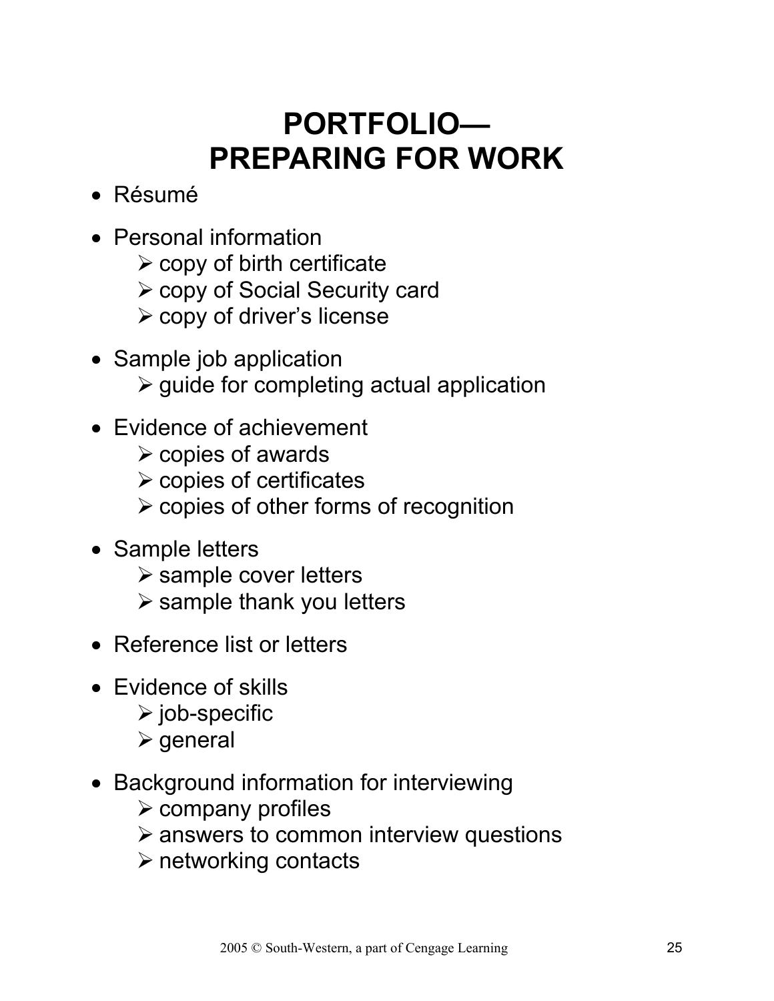### **PORTFOLIO— PREPARING FOR WORK**

- Résumé
- Personal information
	- $\triangleright$  copy of birth certificate
	- ¾ copy of Social Security card
	- ¾ copy of driver's license
- Sample job application  $\triangleright$  guide for completing actual application
- Evidence of achievement
	- $\triangleright$  copies of awards
	- $\triangleright$  copies of certificates
	- $\triangleright$  copies of other forms of recognition
- Sample letters
	- $\triangleright$  sample cover letters
	- $\triangleright$  sample thank you letters
- Reference list or letters
- Evidence of skills
	- $\triangleright$  job-specific
	- $\triangleright$  general
- Background information for interviewing
	- $\triangleright$  company profiles
	- $\triangleright$  answers to common interview questions
	- $\triangleright$  networking contacts